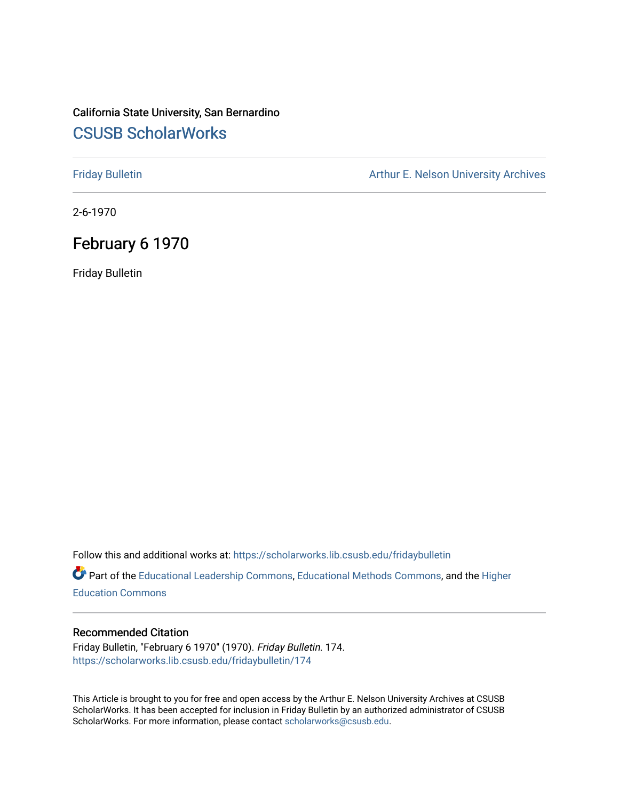## California State University, San Bernardino [CSUSB ScholarWorks](https://scholarworks.lib.csusb.edu/)

[Friday Bulletin](https://scholarworks.lib.csusb.edu/fridaybulletin) **Arthur E. Nelson University Archives** Arthur E. Nelson University Archives

2-6-1970

### February 6 1970

Friday Bulletin

Follow this and additional works at: [https://scholarworks.lib.csusb.edu/fridaybulletin](https://scholarworks.lib.csusb.edu/fridaybulletin?utm_source=scholarworks.lib.csusb.edu%2Ffridaybulletin%2F174&utm_medium=PDF&utm_campaign=PDFCoverPages)

Part of the [Educational Leadership Commons,](http://network.bepress.com/hgg/discipline/1230?utm_source=scholarworks.lib.csusb.edu%2Ffridaybulletin%2F174&utm_medium=PDF&utm_campaign=PDFCoverPages) [Educational Methods Commons,](http://network.bepress.com/hgg/discipline/1227?utm_source=scholarworks.lib.csusb.edu%2Ffridaybulletin%2F174&utm_medium=PDF&utm_campaign=PDFCoverPages) and the [Higher](http://network.bepress.com/hgg/discipline/1245?utm_source=scholarworks.lib.csusb.edu%2Ffridaybulletin%2F174&utm_medium=PDF&utm_campaign=PDFCoverPages) [Education Commons](http://network.bepress.com/hgg/discipline/1245?utm_source=scholarworks.lib.csusb.edu%2Ffridaybulletin%2F174&utm_medium=PDF&utm_campaign=PDFCoverPages) 

#### Recommended Citation

Friday Bulletin, "February 6 1970" (1970). Friday Bulletin. 174. [https://scholarworks.lib.csusb.edu/fridaybulletin/174](https://scholarworks.lib.csusb.edu/fridaybulletin/174?utm_source=scholarworks.lib.csusb.edu%2Ffridaybulletin%2F174&utm_medium=PDF&utm_campaign=PDFCoverPages)

This Article is brought to you for free and open access by the Arthur E. Nelson University Archives at CSUSB ScholarWorks. It has been accepted for inclusion in Friday Bulletin by an authorized administrator of CSUSB ScholarWorks. For more information, please contact [scholarworks@csusb.edu.](mailto:scholarworks@csusb.edu)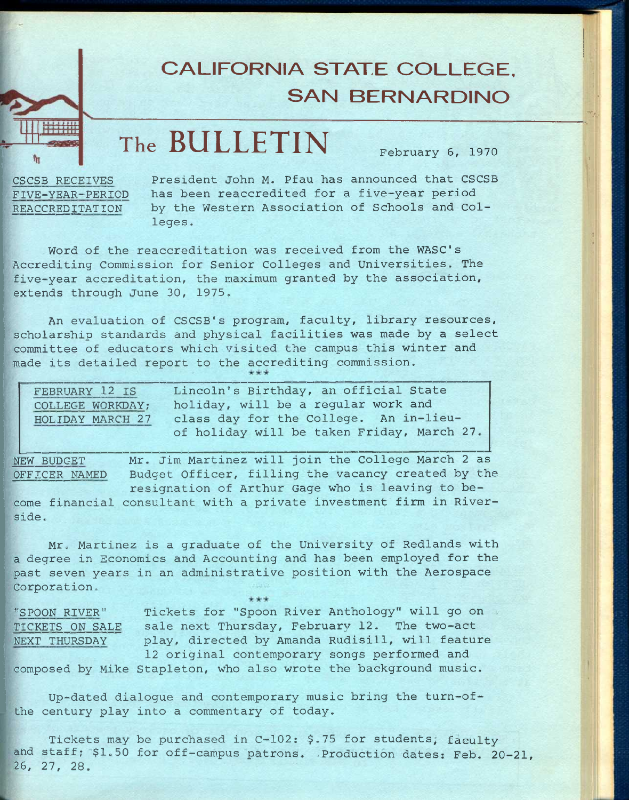# **CALIFORNIA STATE COLLEGE, SAN BERNARDINO**

# **The BULLETIN February 6, 1970**

**CSCSB RECEIVES President John M. Pfau has announced that CSCSB FIVE-YEAR-PERIOD has been reaccredited for a five-year period REACCREDITATION by the Western Association of Schools and Colleges .** 

Word of the reaccreditation was received from the WASC's **Accrediting Commission for Senior Colleges and Universities. The five-year accreditation, the maximum granted by the association, extends through June 30, 1975.** 

**An evaluation of CSCSB"s program, faculty, library resources, scholarship standards and physical facilities was made by a select committee of educators which visited the campus this winter and made its detailed report to the accrediting commission.** 

| FEBRUARY 12 IS   | Lincoln's Birthday, an official State      |
|------------------|--------------------------------------------|
| COLLEGE WORKDAY; | holiday, will be a reqular work and        |
| HOLIDAY MARCH 27 | class day for the College. An in-lieu-     |
|                  | of holiday will be taken Friday, March 27. |

**NEW BUDGET Mr. Jim Martinez will join the College March 2 as OFFICER NAMED Budget Officer, filling the vacancy created by the resignation of Arthur Gage who is leaving to be-**

**come financial consultant with a private investment firm in Riverside.** 

**Mr. Martinez is a graduate of the University of Redlands with a degree in Economics and Accounting and has been employed for the past seven years in an administrative position with the Aerospace Corporation.** 

**"SPOON RIVER" Tickets for "Spoon River Anthology" will go on TICKETS ON SALE sale next Thursday, February 12. The two-act NEXT THURSDAY play, directed by Amanda Rudisill, will feature 12 original contemporary songs performed and composed by Mike Stapleton, who also wrote the background music.** 

**Up-dated dialogue and contemporary music bring the turn-ofthe century play into a commentary of today.** 

**Tickets may be purchased in C-102; \$.75 for students; faculty**  and staff; \$1.50 for off-campus patrons. Production dates: Feb. 20-21, **26, 27, 28.**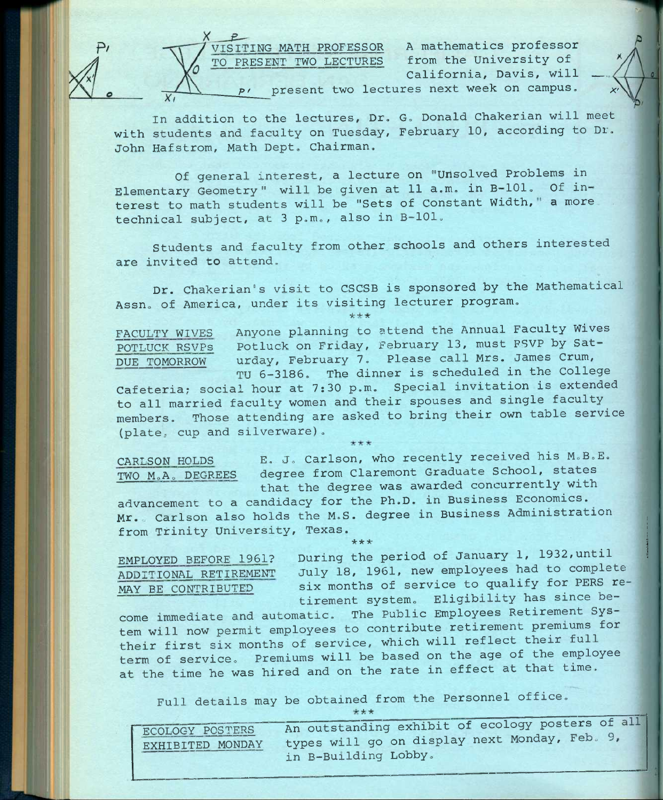

California, Davis, will

**In addition to the lectures. Dr. G. Donald Chakerian will meet with students and faculty on Tuesday, February 10, according to Dr.**  John Hafstrom, Math Dept. Chairman.

**Of general interest, a lecture on "unsolved Problems in Elementary Geometry" will be given at 11 a.m. in B—101. Of in**terest to math students will be "Sets of Constant Width," a more **technical subject, at 3 p.m., also in B-lOl.** 

**Students and faculty from other schools and others interested are invited to attend.** 

**Dr. Chakerian"s visit to CSCSB is sponsored by the Mathematical**  Assn. of America, under its visiting lecturer program.<br>\*\*\*

**FACULTY WIVES Anyone planning to attend the Annual Faculty Wives POTLUCK RSVPs Potluck on Friday, February 13, must FSVP by Sat-DUE TOMORROW urday, February 7. Please call Mrs. James Crum, TU 5-3186. The dinner is scheduled in the College** 

**Cafeteria; social hour at 7:30 p.m. Special invitation is extended to all married faculty women and their spouses and single faculty members. Those attending are asked to bring their own table service (plate, cup and silverware).** 

**CARLSON HOLDS E. J. Carlson, who recently received his M.B.E. TWO MoA. DEGREES degree from Claremont Graduate School, states that the degree was awarded concurrently with** 

**advancement to a candidacy for the Ph.D. in Business Economics. Mr. Carlson also holds the M.S. degree in Business Administration from Trinity University, Texas.**  \*\*\*

**EMPLOYED BEFORE 1961? During the period of January 1, 1932,until ADDITIONAL RETIREMENT July 18, 1961, new employees had to complete**  MAY BE CONTRIBUTED six months of service to qualify for PERS retirement system. Eligibility has since be-

**come immediate and automatic. The Public Employees Retirement System will now permit employees to contribute retirement premiums for their first six months of service, which will reflect their full term of service. Premiums will be based on the age of the employee at the time he was hired and on the rate in effect at that time.** 

Full details may be obtained from the Personnel office.

| ECOLOGY POSTERS  | An outstanding exhibit of ecology posters of all |
|------------------|--------------------------------------------------|
| EXHIBITED MONDAY | types will go on display next Monday, Feb. 9,    |
|                  | in B-Building Lobby.                             |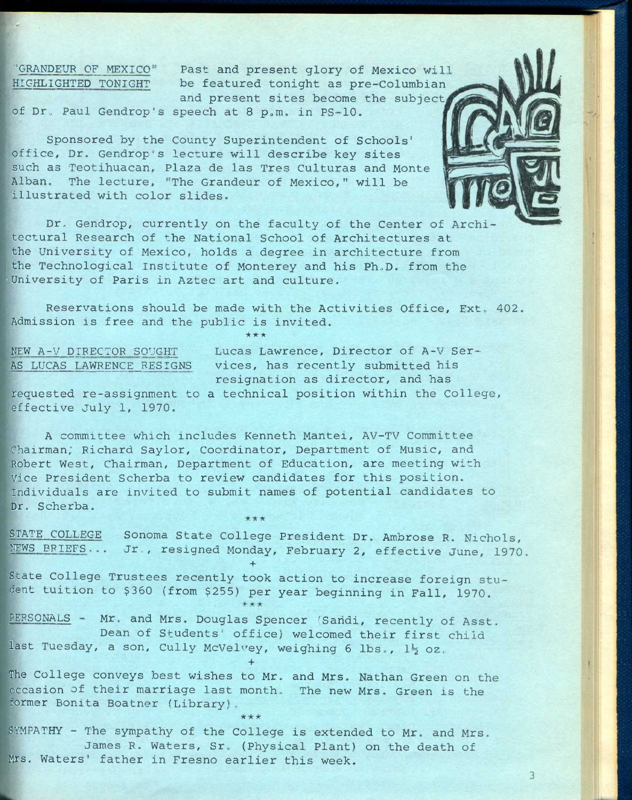**"GRANDEUR OF MEXICO" Past and present glory of Mexico will HIGHLIGHTED TONIGHT be featured tonight as pre-Columbian**  and present sites become the subject,

**of DT**o **Paul Gendrop's speech at 8 pom. in PS-10.** 

**Sponsored by the County Superintendent of Schools' office. Dr. Gendrop's lecture will describe key sites such as Teotihuacan, Plaza de las Tres Culturas and Monte Alban. The lecture, "The Grandeur of Mexico," will be illustrated with color slides.** 

**Dr, Gendrop, currently on the faculty of the Center of Architectural Research of the National School of Architectures at the University of Mexico, holds a degree in architecture from**  the Technological Institute of Monterey and his Ph.D. from the **•University of Paris in Aztec art and culture.** 

**Reservations should be made with the Activities Office, Ext. 402. Admission is free and the public is invited.**  \*\* \*

**NEW A-V DIRECTOR SOUGHT Lucas Lawrence, Director of A**-V **Ser-AS LUCAS LAWRENCE RESIGNS vices, has recently submitted his resignation as director, and has** 

3

**requested re-assignment to a technical position within the College, effective July 1, 1970.** 

**A committee which includes Kenneth Mantei, AV-TV Committee Chairman; Richard Saylor. Coordinator, Department of Music, and Robert West, Chairman, Department of Education, are meeting with Vice President Scherba to review candidates for this position. Individuals are invited to submit names of potential candidates to Dr, Scherba,** 

*it:* 

**STATE COLLEGE Sonoma State College President Dr. Ambrose R, Nichols,**  NEWS BRIEFS... Jr., resigned Monday, February 2, effective June, 1970.

**State College Trustees recently took action to increase foreign student tuition to \$360 (from \$255) per year beginning in Fall, 1970,** 

**+** 

PERSONALS - Mr. and Mrs. Douglas Spencer 'Sandi, recently of Asst. **Dean of Students' office) welcomed their first child**  last Tuesday, a son, Cully McVelvey, weighing 6 lbs., 1<sup>1</sup>2 oz. +

**The College conveys best wishes to Mr. and Mrs. Nathan Green on the occasion of their marriage last month. The new Mrs. Green is the former Bonita Boatner (Library).** 

**SYMPATHY - The sympathy of the College is extended to Mr. and Mrs,**  James R. Waters, Sr. (Physical Plant) on the death of **Mrs. Waters' father in Fresno earlier this week.** 

*ic ic is*